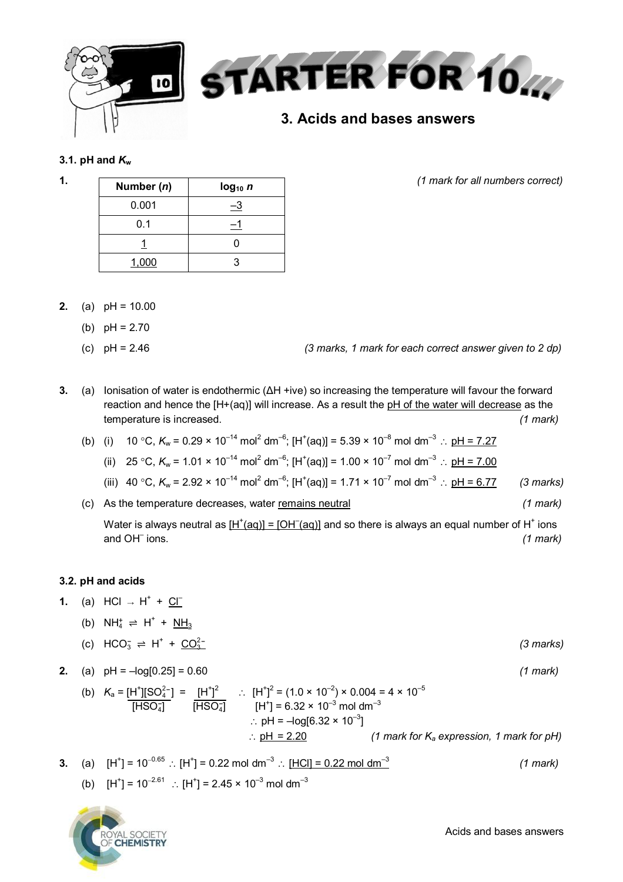

## **3.1. pH** and  $K_w$

| 1. | Number $(n)$ | $log_{10} n$ | (1 mark for all numbers correct) |
|----|--------------|--------------|----------------------------------|
|    | 0.001        |              |                                  |
|    | 0.1          |              |                                  |
|    |              |              |                                  |
|    | 1,000        |              |                                  |

- **2.** (a) pH = 10.00
	- (b)  $pH = 2.70$
	- (c) pH = 2.46 *(3 marks, 1 mark for each correct answer given to 2 dp)*

- **3.** (a) Ionisation of water is endothermic (ΔH +ive) so increasing the temperature will favour the forward reaction and hence the [H+(aq)] will increase. As a result the pH of the water will decrease as the temperature is increased. *(1 mark)*
	- (b) (i) 10 °C,  $K_w = 0.29 \times 10^{-14}$  mol<sup>2</sup> dm<sup>-6</sup>; [H<sup>+</sup>(aq)] = 5.39 × 10<sup>-8</sup> mol dm<sup>-3</sup> :: <u>pH = 7.27</u>

(ii) 25 °C, 
$$
K_w = 1.01 \times 10^{-14} \text{ mol}^2 \text{ dm}^{-6}
$$
;  $[H^+(aq)] = 1.00 \times 10^{-7} \text{ mol dm}^{-3}$  :  $pH = 7.00$ 

(iii) 40 °C, 
$$
K_w = 2.92 \times 10^{-14} \text{ mol}^2 \text{ dm}^{-6}
$$
; [H<sup>+</sup>(aq)] = 1.71 × 10<sup>-7</sup> mol dm<sup>-3</sup> : pH = 6.77 (3 marks)

(c) As the temperature decreases, water remains neutral *(1 mark)* Water is always neutral as  $[H^+(aq)] = [OH^-(aq)]$  and so there is always an equal number of H<sup>+</sup> ions and OH<sup>-</sup> ions. ions. *(1 mark)*

## **3.2. pH and acids**

- **1.** (a) HCl → H<sup>+</sup> + <u>Cl</u> =
	- (b)  $NH_4^+ \rightleftharpoons H^+ + NH_3$
	- (c)  $HCO_3^- \rightleftharpoons H^+$  $+$   $\frac{CO_{3}^{2-}}{2}$  (3 marks)
- **2.** (a) pH = –log[0.25] = 0.60 *(1 mark)* (b)  $K_a = [H^+] [SO_4^{2-}] = [H^+]^2$  ::  $[H^+]^2 = (1.0 \times 10^{-2}) \times 0.004 = 4 \times 10^{-5}$  $\overline{[HSO_4]}$   $\overline{[HSO_4]}$   $[H^+] = 6.32 \times 10^{-3}$  mol dm<sup>-3</sup>  $\therefore$  pH = –log[6.32 × 10<sup>–3</sup>]
	- pH = 2.20 *(1 mark for K<sup>a</sup> expression, 1 mark for pH)*
- **3.** (a) [H $^{\dagger}$ ] = 10 $^{-0.65}$   $\therefore$  [H $^{\dagger}$ ] = 0.22 mol dm $^{-3}$   $\therefore$  <u>[HCl] = 0.22 mol dm $^{-3}$ </u> *(1 mark)* (b)  $[H^+] = 10^{-2.61}$  :  $[H^+] = 2.45 \times 10^{-3}$  mol dm<sup>-3</sup>